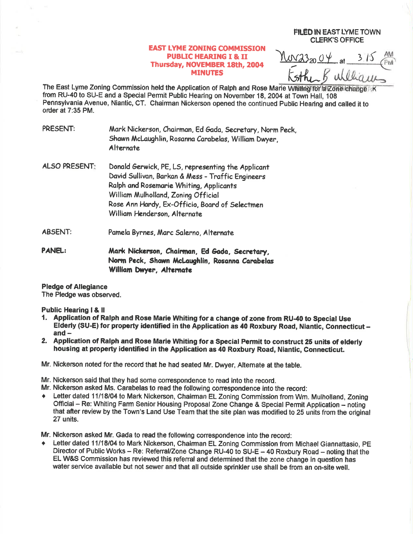## **EAST LYME ZONING COMMISSION PUBLIC HEARING I & II** Thursday, NOVEMBER 18th, 2004 **MINUTES**

**FILED IN EAST LYME TOWN CLERK'S OFFICE** 

 $N23_{20}04$ 

The East Lyme Zoning Commission held the Application of Ralph and Rose Marie Whith a Done Change from RU-40 to SU-E and a Special Permit Public Hearing on November 18, 2004 at Town Hall, 108 Pennsylvania Avenue, Niantic, CT. Chairman Nickerson opened the continued Public Hearing and called it to order at 7:35 PM.

PRESENT: Mark Nickerson, Chairman, Ed Gada, Secretary, Norm Peck, Shawn McLaughlin, Rosanna Carabelas, William Dwyer, Alternate

**ALSO PRESENT:** Donald Gerwick, PE, LS, representing the Applicant David Sullivan, Barkan & Mess - Traffic Engineers Ralph and Rosemarie Whiting, Applicants William Mulholland, Zoning Official Rose Ann Hardy, Ex-Officio, Board of Selectmen William Henderson, Alternate

**ABSENT:** Pamela Byrnes, Marc Salerno, Alternate

**PANEL:** Mark Nickerson, Chairman, Ed Gada, Secretary, Norm Peck, Shawn McLaughlin, Rosanna Carabelas William Dwyer, Alternate

**Pledge of Allegiance** 

The Pledge was observed.

## **Public Hearing I & II**

- 1. Application of Ralph and Rose Marie Whiting for a change of zone from RU-40 to Special Use Elderly (SU-E) for property identified in the Application as 40 Roxbury Road, Niantic, Connecticut and  $-$
- 2. Application of Ralph and Rose Marie Whiting for a Special Permit to construct 25 units of elderly housing at property identified in the Application as 40 Roxbury Road, Niantic, Connecticut,

Mr. Nickerson noted for the record that he had seated Mr. Dwyer, Alternate at the table.

Mr. Nickerson said that they had some correspondence to read into the record.

- Mr. Nickerson asked Ms. Carabelas to read the following correspondence into the record:
- Letter dated 11/18/04 to Mark Nickerson, Chairman EL Zoning Commission from Wm. Mulholland, Zoning  $\blacklozenge$ Official - Re: Whiting Farm Senior Housing Proposal Zone Change & Special Permit Application - noting that after review by the Town's Land Use Team that the site plan was modified to 25 units from the original 27 units.

Mr. Nickerson asked Mr. Gada to read the following correspondence into the record:

Letter dated 11/18/04 to Mark Nickerson, Chairman EL Zoning Commission from Michael Giannattasio, PE Director of Public Works – Re: Referral/Zone Change RU-40 to SU-E – 40 Roxbury Road – noting that the EL W&S Commission has reviewed this referral and determined that the zone change in question has water service available but not sewer and that all outside sprinkler use shall be from an on-site well.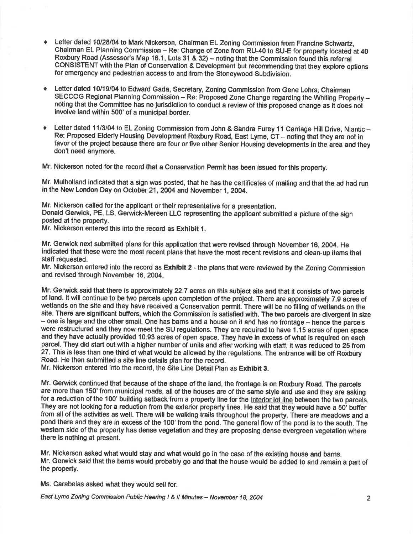- $\triangleq$  Letter dated 10/28/04 to Mark Nickerson, Chairman EL Zoning Commission from Francine Schwartz, Chairman EL Planning Commission - Re: Change of Zone from RU-40 to SU-E for property located at 40 Roxbury Road (Assessor's Map 16.1, Lots 31 & 32) - noting that the Commission found this referral CONSISTENT with the Plan of Conservation & Development but recommending that they explore options for emergency and pedestrian aocess to and from the Stoneywood Subdivision.
- Letter dated 10/19/04 to Edward Gada, Secretary, Zoning Commission from Gene Lohrs, Chairman SECCOG Regional Planning Commission - Re: Proposed Zone Change regarding the Whiting Property noting that the Committee has no jurisdiction to conduct a review of this proposed change as it does not involve land within 500'of a municipal border.
- Letter dated 11/3/04 to EL Zoning Commission from John & Sandra Furey 11 Carriage Hill Drive, Niantic -Re: Proposed Elderly Housing Development Roxbury Road, East Lyme, CT - noting that they are not in favor of the project because there are four or five other Senior Housing developments in the area and they don't need anymore.

Mr. Nickerson noted for the record that a Conservation Permit has been issued for this property.

Mr. Mulholland indicated that a sign was posted, that he has the oertificates of mailing and that the ad had run in the New London Day on October 21, 2004 and November 1, 2004.

Mr. Nickerson called for the applicant or their representative for a presentation. Donald Gerwick, PE, LS, Gerwick-Mereen LLC representing the applicant submltted a picture of the sign posted at the property.

Mr. Nickerson entered this into the record as Exhibit 1.

Mr. Gerwick next submitted plans for this application that were revised through November 16, 2004. He indicated that these were the most recent plans that have the most recent revisions and clean-up items that staff requested.

Mr. Nickerson entered into the record as Exhibit 2 - the plans that were reviewed by the Zoning Commission and revised through November 16, 2004.

Mr. Gerwick said that there is approximately 22.7 acres on this subject site and that it consists of two parcels of land. It will continue to be two parcels upon completion of the project. There are approximately 7.9 acres of wetlands on the site and they have received a Conservation permit. There will be no filling of wetlands on the site. There are significant buffers, which the Commission is satisfied with. The two parcels are divergent in size - one is large and the other small. One has bams and a house on it and has no frontage - hence the parcels were restructured and they now meet the SU regulations. They are required to have 1.15 acres of open space and they have actually provided 10.93 acres of open space. They haVe in excess of what is required on each parcel. They did start out with a higher number of units and after working with staff, it was reduced to 25 from 27. This is less than one third of what would be allowed by the regulations. The entrance will be off Roxbury Road. He then submitted a site line details plan for the record.

Mr. Nickerson entered into the record, the Site Line Detail Plan as Exhibit 3.

Mr. Gerwick continued that because of the shape of the land, the frontage is on Roxbury Road. The parcels are more than 150' from municipal roads, all of the houses are of the same style and use and they are asking for a reduction of the 100' building setback from a property line for the interior lot line between the two parcels. They are not looking for a reduction from the exterior property lines. He seid that they would have a 50; buffer from all of the activities as well. There will be walking trails throughout the property. There are meadows and a pond there and they are in excess of the 100' from the pond. The general flow of the pond is to the south. The western side of the property has dense vegetation and they are proposing dense evergreen vegetation where there is nothing at present.

Mr. Nickerson asked what would stay and what would go in the case of the existing house and bams. Mr. Gerwick said that the barns would probably go and that the house would be added to and remain a part of the property.

Ms. Carabelas asked what they would sell for.

East Lyme Zoning Conmission Public Hearing I & ll Minutes - Novehber 1A, 2004 2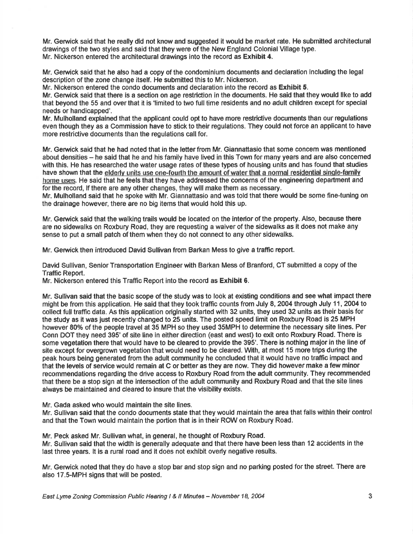Mr. Gerwick said that he really did not know and suggested it would be market rate. He submitted architectural drawings of the two styles and said that they were of the New England Colonial Village type. Mr. Nickerson entered the architectural drawings into the record as Exhibit 4.

Mr. Gerwick said that he also had a copy of the condominium documents and declaration including the legal description of the zone change itself. He submitted this to Mr. Nickerson.

Mr, Nickerson entered the condo documents and declaration into the record as Exhibit 5.

Mr. Gerwick said that there is a section on age restriction in the documents. He said that they would like to add that beyond the 55 and overthat it is 'limited to two full time residents and no adult children except for special needs or handicapped'.

Mr. Mulholland explained that the applicant could opt to have more restrictive documents than our regulations even though they as a Commission have to stick to their regulations. They could not force an applicant to have more restrictive documents than the regulations call for.

Mr. Gerwick said that he had noted that in the letter from Mr. Giannattasio that some concem was mentioned about densities - he said that he and his family have lived in this Town for many years and are also concerned with this. He has researched the water usage rates of these types of housing units and has found that studies have shown that the elderly units use one-fourth the amount of water that a normal residential single-family home uses. He said that he feels that they have addressed the concerns of the engineering department and for the record, lf there are any other changes, they will make them as necessary.

Mr. Mulholland said that he spoke with Mr. Giannattasio and was told that there would be some fine-tuning on the drainage however, there are no big items that would hold this up.

Mr. Gerwick said that the walking trails would be located on the interior of the property. Also, because there are no sidewalks on Roxbury Road, they are requesting a waiver of the sidewalks as it does not make any sense to put a small patch of them when they do not connect to any other sidewalks.

Mr. Gerwick then introduced David Sullivan from Barkan Mess to give a traffic report.

David Sullivan, Senior Transportation Engineer with Barkan Mess of Branford, CT submitted a copy of the Traffic Report.

Mr. Nickerson entered this Traffic Report into the record as Exhibit 6.

Mr. Sullivan said that the basic scope of the study was to look at existing conditions and see what impact there might be from this application. He said that they took traffic counts from July 8,2004 through July 11, 2004 to collect full traffic data. As this application originally started with 32 units, they used 32 units as their basis for the study as it was just recently changed to 25 units. The posted speed limit on Roxbury Road is 25 MPH however 80% of the people travel at 35 MPH so they used 35 MPH to determine the necessary site lines. Per Conn DOT they need 395' of site line in either direc'tion (east and west) to exit onto Roxbury Road. There is some vegetation there that would have to be cleared to provide the 395'. There is nothing major in the line of site except for overgrown vegetation that would need to be cleared. With, at most 15 more trips during the peak hours being generated from the adult community he concluded that it would have no traffic impact and that the levels of service would remain at C or better as they are now. They did however make a few minor recommendations regading the drive access to Roxbury Road frorn the adult community. They recommended that there be a stop sign at the intersection of the adult community and Roxbury Road and that the site lines always be maintained and cleared to insure that the visibility exists.

Mr. Gada asked who would maintain the site lines.

Mr. Sullivan said that the condo documents state that they would maintain the area that falls within their control and that the Town would maintain the portion that is in their ROW on Roxbury Road.

Mr. Peck asked Mr. Sullivan what, in general, he thought of Roxbury Road.

Mr. Sullivan said that the width is generally adequate and that there have been less than 12 accidents in the last three years. lt is a rural road and it does not exhibit overly negative results.

Mr. Gerwick noted that they do have a stop bar and stop sign and no parking posted for the street. There are also 17.5-MPH signs that will be posted.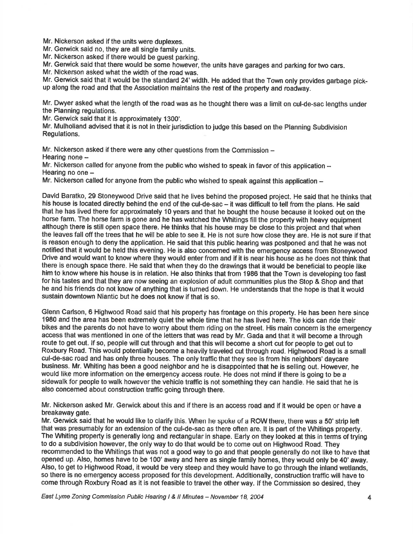Mr. Nickerson asked if the units were duplexes.

Mr. Gerwick said no, they are all single family units.

Mr. Nickerson asked if there would be guest parking.

Mr. Gerwick said that there would be some however, the units have garages and parking for two cars.

Mr. Nickerson asked what the width of the road was.

Mr. Gerwick said that it would be the standard 24' width. He added that the Town only provides garbage pickup along the road and that the Association maintains the rest of the property and roadway.

Mr. Dwyer asked what the length of the road was as he thought there was a limit on cul-de-sac lengths under the Planning regulations.

Mr. Gerwick said that it is approximately 1300'.

Mr. Mulholland advised that it is not in their jurisdiction to judge this based on the Planning Subdivision Regulations.

Mr. Nickerson asked if there were any other questions from the Commission -

Hearing none -

Mr. Nickerson called for anyone from the public who wished to speak in favor of this application  $-$ Hearing no one -

Mr. Nickerson called for anyone from the public who wished to speak against this application  $-$ 

David Baratko, 29 Stoneywood Drive said that he lives behind the proposed project, He said that he thlnks that his house is located directly behind the end of the cul-de-sac - it was difficult to tell from the plans. He said that he has lived there for approximately 10 years and that he bought the house because it looked out on the horse farm. The horse farm is gone and he has watched the Whitings fill the property with heavy equipment although there is still open space there. He thinks that his house may be close to this projec{ and that when the leaves fall off the trees that he will be able to see it. He is not sure how close they are. He is not sure if that is reason enough to deny the application. He said that this public hearing was postponed and that he was not notified that it would be held this evening. He is also concerned with the emergency access from Stoneywood Drive and would want to know where they would enter from and if it is near his house as he does not think that there is enough space there. He said that when they do the drawings that it would be beneficial to people like him to know where his house is in relation. He also thinks that from 1986 that the Town is developing too fast for his tastes and that they are now seeing an explosion of adult communities plus the Stop & Shop and that he and his friends do not know of anything that is turned down. He undenstands that the hope is that it would sustain downtown Niantic but he does not know if that is so.

Glenn Carlson, 6 Highwood Road said that his property has frontage on this property. He has been here since 1980 and the area has been extremely qulet the whole time thet he has lived here. The kids can ride their bikes and the parents do not have to worry about them riding on the street. His main concem is the emergency access that was mentioned in One of the letters that was read by Mr. Gada and that it will become a through route to get out. lf so, people will cut through and that this will become a short cut for people to get out to Roxbury Road. This would potentially become a heavily traveled cut through road. Highwood Road is a small cul-de-sac road and has only three houses. The only traffic that they see is from his neighbors' daycare business. Mr. t/Vhiting has been a good neighbor and he is disappointed that he is selling out. However, he would like more information on the emergency access route. He does not mind if there is going to be a sidewalk for people to walk however the vehicle traffic is not something they can handle. He said that he is also concemed about construction traffic going through there.

Mr. Nickerson asked Mr. Gerwick about thls and if there is an acoess road and if it would be open or have a breakaway gate.

Mr. Gerwick said that he would like to clarify this. When he spoke of a ROW there, there was a 50' strip left that was presumably for an extension of the cul-de-sac as there often are. It is part of the Whitings property. The Whiting property is generally long and rectangular in shape. Early on they looked at this in terms of trying to do a subdivision however, the only way to do that would be to come out on Highwood Road. They recommended to the Whitings that was not a good way to go and that people generally do not like to have that opened up. Also, homes have to be 100' away and here as single family homes, they would only be 40'away. Also, to get to Highwood Road, it would be very steep and they would have to go through the inland wetlands, so there is no emergency access proposed for thls development. Additionally, construction traffic will have to come through Roxbury Road as it is not feasible to travel the other way. If the Commission so desired, they

East Lyme Zoning Commission Public Hearing I & ll Minutes - Novembar 18, 2004 4